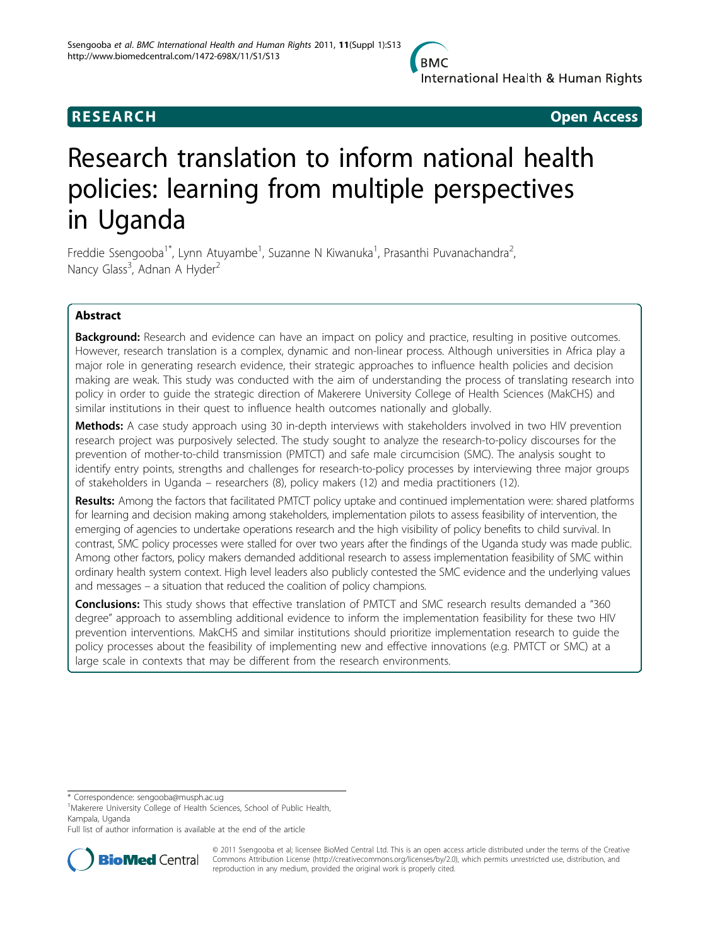

International Health & Human Rights

# **RESEARCH CONSTRUCTION CONTROL**

# Research translation to inform national health policies: learning from multiple perspectives in Uganda

Freddie Ssengooba<sup>1\*</sup>, Lynn Atuyambe<sup>1</sup>, Suzanne N Kiwanuka<sup>1</sup>, Prasanthi Puvanachandra<sup>2</sup> , Nancy Glass<sup>3</sup>, Adnan A Hyder<sup>2</sup>

# Abstract

**Background:** Research and evidence can have an impact on policy and practice, resulting in positive outcomes. However, research translation is a complex, dynamic and non-linear process. Although universities in Africa play a major role in generating research evidence, their strategic approaches to influence health policies and decision making are weak. This study was conducted with the aim of understanding the process of translating research into policy in order to guide the strategic direction of Makerere University College of Health Sciences (MakCHS) and similar institutions in their quest to influence health outcomes nationally and globally.

Methods: A case study approach using 30 in-depth interviews with stakeholders involved in two HIV prevention research project was purposively selected. The study sought to analyze the research-to-policy discourses for the prevention of mother-to-child transmission (PMTCT) and safe male circumcision (SMC). The analysis sought to identify entry points, strengths and challenges for research-to-policy processes by interviewing three major groups of stakeholders in Uganda – researchers (8), policy makers (12) and media practitioners (12).

Results: Among the factors that facilitated PMTCT policy uptake and continued implementation were: shared platforms for learning and decision making among stakeholders, implementation pilots to assess feasibility of intervention, the emerging of agencies to undertake operations research and the high visibility of policy benefits to child survival. In contrast, SMC policy processes were stalled for over two years after the findings of the Uganda study was made public. Among other factors, policy makers demanded additional research to assess implementation feasibility of SMC within ordinary health system context. High level leaders also publicly contested the SMC evidence and the underlying values and messages – a situation that reduced the coalition of policy champions.

Conclusions: This study shows that effective translation of PMTCT and SMC research results demanded a "360 degree" approach to assembling additional evidence to inform the implementation feasibility for these two HIV prevention interventions. MakCHS and similar institutions should prioritize implementation research to guide the policy processes about the feasibility of implementing new and effective innovations (e.g. PMTCT or SMC) at a large scale in contexts that may be different from the research environments.

\* Correspondence: [sengooba@musph.ac.ug](mailto:sengooba@musph.ac.ug)

Full list of author information is available at the end of the article



© 2011 Ssengooba et al; licensee BioMed Central Ltd. This is an open access article distributed under the terms of the Creative Commons Attribution License [\(http://creativecommons.org/licenses/by/2.0](http://creativecommons.org/licenses/by/2.0)), which permits unrestricted use, distribution, and reproduction in any medium, provided the original work is properly cited.

<sup>&</sup>lt;sup>1</sup>Makerere University College of Health Sciences, School of Public Health, Kampala, Uganda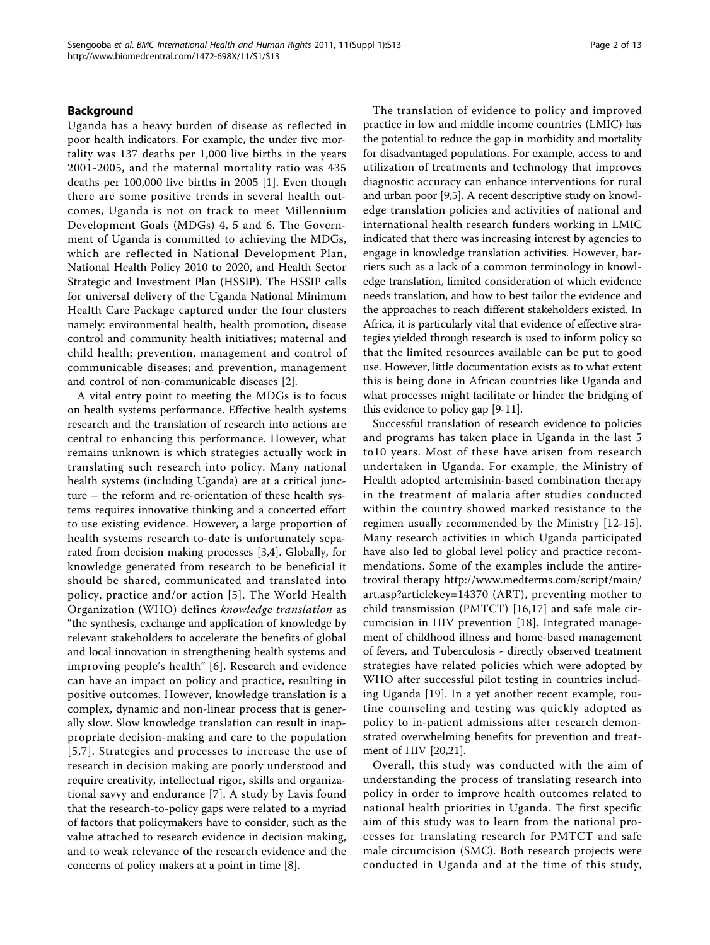### Background

Uganda has a heavy burden of disease as reflected in poor health indicators. For example, the under five mortality was 137 deaths per 1,000 live births in the years 2001-2005, and the maternal mortality ratio was 435 deaths per 100,000 live births in 2005 [[1\]](#page-11-0). Even though there are some positive trends in several health outcomes, Uganda is not on track to meet Millennium Development Goals (MDGs) 4, 5 and 6. The Government of Uganda is committed to achieving the MDGs, which are reflected in National Development Plan, National Health Policy 2010 to 2020, and Health Sector Strategic and Investment Plan (HSSIP). The HSSIP calls for universal delivery of the Uganda National Minimum Health Care Package captured under the four clusters namely: environmental health, health promotion, disease control and community health initiatives; maternal and child health; prevention, management and control of communicable diseases; and prevention, management and control of non-communicable diseases [[2](#page-11-0)].

A vital entry point to meeting the MDGs is to focus on health systems performance. Effective health systems research and the translation of research into actions are central to enhancing this performance. However, what remains unknown is which strategies actually work in translating such research into policy. Many national health systems (including Uganda) are at a critical juncture – the reform and re-orientation of these health systems requires innovative thinking and a concerted effort to use existing evidence. However, a large proportion of health systems research to-date is unfortunately separated from decision making processes [[3,4\]](#page-11-0). Globally, for knowledge generated from research to be beneficial it should be shared, communicated and translated into policy, practice and/or action [[5\]](#page-11-0). The World Health Organization (WHO) defines knowledge translation as "the synthesis, exchange and application of knowledge by relevant stakeholders to accelerate the benefits of global and local innovation in strengthening health systems and improving people's health" [[6](#page-11-0)]. Research and evidence can have an impact on policy and practice, resulting in positive outcomes. However, knowledge translation is a complex, dynamic and non-linear process that is generally slow. Slow knowledge translation can result in inappropriate decision-making and care to the population [[5,7\]](#page-11-0). Strategies and processes to increase the use of research in decision making are poorly understood and require creativity, intellectual rigor, skills and organizational savvy and endurance [[7\]](#page-11-0). A study by Lavis found that the research-to-policy gaps were related to a myriad of factors that policymakers have to consider, such as the value attached to research evidence in decision making, and to weak relevance of the research evidence and the concerns of policy makers at a point in time [\[8](#page-11-0)].

The translation of evidence to policy and improved practice in low and middle income countries (LMIC) has the potential to reduce the gap in morbidity and mortality for disadvantaged populations. For example, access to and utilization of treatments and technology that improves diagnostic accuracy can enhance interventions for rural and urban poor [\[9,5\]](#page-11-0). A recent descriptive study on knowledge translation policies and activities of national and international health research funders working in LMIC indicated that there was increasing interest by agencies to engage in knowledge translation activities. However, barriers such as a lack of a common terminology in knowledge translation, limited consideration of which evidence needs translation, and how to best tailor the evidence and the approaches to reach different stakeholders existed. In Africa, it is particularly vital that evidence of effective strategies yielded through research is used to inform policy so that the limited resources available can be put to good use. However, little documentation exists as to what extent this is being done in African countries like Uganda and what processes might facilitate or hinder the bridging of this evidence to policy gap [[9](#page-11-0)-[11](#page-11-0)].

Successful translation of research evidence to policies and programs has taken place in Uganda in the last 5 to10 years. Most of these have arisen from research undertaken in Uganda. For example, the Ministry of Health adopted artemisinin-based combination therapy in the treatment of malaria after studies conducted within the country showed marked resistance to the regimen usually recommended by the Ministry [\[12](#page-11-0)-[15](#page-11-0)]. Many research activities in which Uganda participated have also led to global level policy and practice recommendations. Some of the examples include the antiretroviral therapy [http://www.medterms.com/script/main/](http://www.medterms.com/script/main/art.asp?articlekey=14370) [art.asp?articlekey=14370](http://www.medterms.com/script/main/art.asp?articlekey=14370) (ART), preventing mother to child transmission (PMTCT) [\[16,17\]](#page-11-0) and safe male circumcision in HIV prevention [[18\]](#page-11-0). Integrated management of childhood illness and home-based management of fevers, and Tuberculosis - directly observed treatment strategies have related policies which were adopted by WHO after successful pilot testing in countries including Uganda [[19\]](#page-11-0). In a yet another recent example, routine counseling and testing was quickly adopted as policy to in-patient admissions after research demonstrated overwhelming benefits for prevention and treatment of HIV [\[20,21\]](#page-11-0).

Overall, this study was conducted with the aim of understanding the process of translating research into policy in order to improve health outcomes related to national health priorities in Uganda. The first specific aim of this study was to learn from the national processes for translating research for PMTCT and safe male circumcision (SMC). Both research projects were conducted in Uganda and at the time of this study,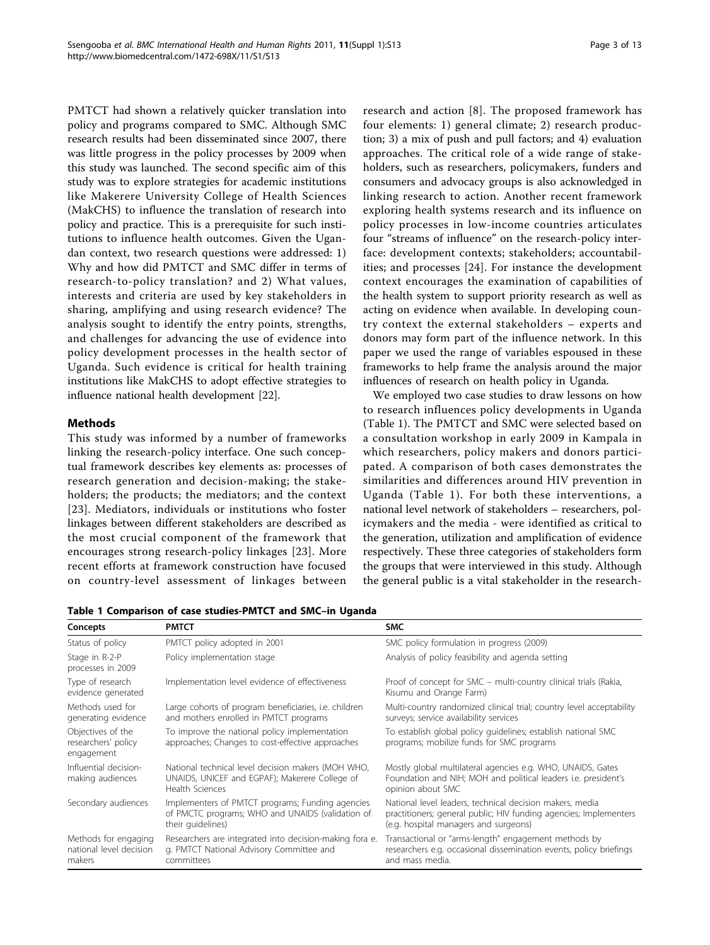<span id="page-2-0"></span>PMTCT had shown a relatively quicker translation into policy and programs compared to SMC. Although SMC research results had been disseminated since 2007, there was little progress in the policy processes by 2009 when this study was launched. The second specific aim of this study was to explore strategies for academic institutions like Makerere University College of Health Sciences (MakCHS) to influence the translation of research into policy and practice. This is a prerequisite for such institutions to influence health outcomes. Given the Ugandan context, two research questions were addressed: 1) Why and how did PMTCT and SMC differ in terms of research-to-policy translation? and 2) What values, interests and criteria are used by key stakeholders in sharing, amplifying and using research evidence? The analysis sought to identify the entry points, strengths, and challenges for advancing the use of evidence into policy development processes in the health sector of Uganda. Such evidence is critical for health training institutions like MakCHS to adopt effective strategies to influence national health development [\[22\]](#page-11-0).

# Methods

This study was informed by a number of frameworks linking the research-policy interface. One such conceptual framework describes key elements as: processes of research generation and decision-making; the stakeholders; the products; the mediators; and the context [[23](#page-11-0)]. Mediators, individuals or institutions who foster linkages between different stakeholders are described as the most crucial component of the framework that encourages strong research-policy linkages [[23](#page-11-0)]. More recent efforts at framework construction have focused on country-level assessment of linkages between research and action [[8\]](#page-11-0). The proposed framework has four elements: 1) general climate; 2) research production; 3) a mix of push and pull factors; and 4) evaluation approaches. The critical role of a wide range of stakeholders, such as researchers, policymakers, funders and consumers and advocacy groups is also acknowledged in linking research to action. Another recent framework exploring health systems research and its influence on policy processes in low-income countries articulates four "streams of influence" on the research-policy interface: development contexts; stakeholders; accountabilities; and processes [[24](#page-11-0)]. For instance the development context encourages the examination of capabilities of the health system to support priority research as well as acting on evidence when available. In developing country context the external stakeholders – experts and donors may form part of the influence network. In this paper we used the range of variables espoused in these frameworks to help frame the analysis around the major influences of research on health policy in Uganda.

We employed two case studies to draw lessons on how to research influences policy developments in Uganda (Table 1). The PMTCT and SMC were selected based on a consultation workshop in early 2009 in Kampala in which researchers, policy makers and donors participated. A comparison of both cases demonstrates the similarities and differences around HIV prevention in Uganda (Table 1). For both these interventions, a national level network of stakeholders – researchers, policymakers and the media - were identified as critical to the generation, utilization and amplification of evidence respectively. These three categories of stakeholders form the groups that were interviewed in this study. Although the general public is a vital stakeholder in the research-

Table 1 Comparison of case studies-PMTCT and SMC–in Uganda

| Concepts                                                  | <b>PMTCT</b>                                                                                                              | <b>SMC</b>                                                                                                                                                             |
|-----------------------------------------------------------|---------------------------------------------------------------------------------------------------------------------------|------------------------------------------------------------------------------------------------------------------------------------------------------------------------|
| Status of policy                                          | PMTCT policy adopted in 2001                                                                                              | SMC policy formulation in progress (2009)                                                                                                                              |
| Stage in R-2-P<br>processes in 2009                       | Policy implementation stage                                                                                               | Analysis of policy feasibility and agenda setting                                                                                                                      |
| Type of research<br>evidence generated                    | Implementation level evidence of effectiveness                                                                            | Proof of concept for SMC - multi-country clinical trials (Rakia,<br>Kisumu and Orange Farm)                                                                            |
| Methods used for<br>generating evidence                   | Large cohorts of program beneficiaries, i.e. children<br>and mothers enrolled in PMTCT programs                           | Multi-country randomized clinical trial; country level acceptability<br>surveys; service availability services                                                         |
| Objectives of the<br>researchers' policy<br>engagement    | To improve the national policy implementation<br>approaches; Changes to cost-effective approaches                         | To establish global policy guidelines; establish national SMC<br>programs; mobilize funds for SMC programs                                                             |
| Influential decision-<br>making audiences                 | National technical level decision makers (MOH WHO,<br>UNAIDS, UNICEF and EGPAF); Makerere College of<br>Health Sciences   | Mostly global multilateral agencies e.g. WHO, UNAIDS, Gates<br>Foundation and NIH; MOH and political leaders i.e. president's<br>opinion about SMC                     |
| Secondary audiences                                       | Implementers of PMTCT programs; Funding agencies<br>of PMCTC programs; WHO and UNAIDS (validation of<br>their quidelines) | National level leaders, technical decision makers, media<br>practitioners; general public; HIV funding agencies; Implementers<br>(e.g. hospital managers and surgeons) |
| Methods for engaging<br>national level decision<br>makers | Researchers are integrated into decision-making fora e.<br>g. PMTCT National Advisory Committee and<br>committees         | Transactional or "arms-length" engagement methods by<br>researchers e.g. occasional dissemination events, policy briefings<br>and mass media.                          |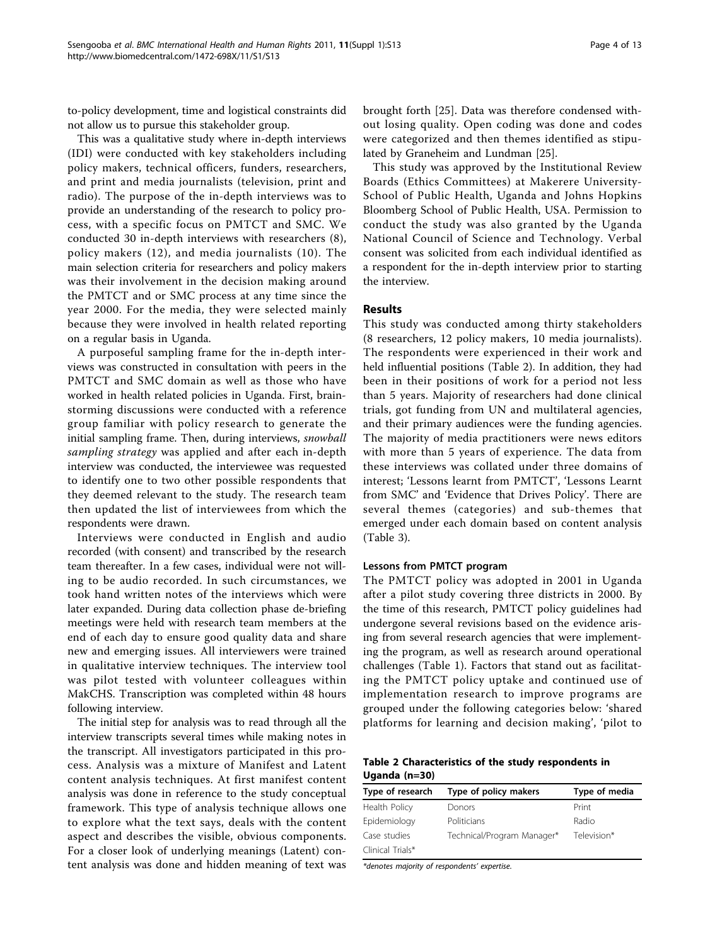to-policy development, time and logistical constraints did not allow us to pursue this stakeholder group.

This was a qualitative study where in-depth interviews (IDI) were conducted with key stakeholders including policy makers, technical officers, funders, researchers, and print and media journalists (television, print and radio). The purpose of the in-depth interviews was to provide an understanding of the research to policy process, with a specific focus on PMTCT and SMC. We conducted 30 in-depth interviews with researchers (8), policy makers (12), and media journalists (10). The main selection criteria for researchers and policy makers was their involvement in the decision making around the PMTCT and or SMC process at any time since the year 2000. For the media, they were selected mainly because they were involved in health related reporting on a regular basis in Uganda.

A purposeful sampling frame for the in-depth interviews was constructed in consultation with peers in the PMTCT and SMC domain as well as those who have worked in health related policies in Uganda. First, brainstorming discussions were conducted with a reference group familiar with policy research to generate the initial sampling frame. Then, during interviews, snowball sampling strategy was applied and after each in-depth interview was conducted, the interviewee was requested to identify one to two other possible respondents that they deemed relevant to the study. The research team then updated the list of interviewees from which the respondents were drawn.

Interviews were conducted in English and audio recorded (with consent) and transcribed by the research team thereafter. In a few cases, individual were not willing to be audio recorded. In such circumstances, we took hand written notes of the interviews which were later expanded. During data collection phase de-briefing meetings were held with research team members at the end of each day to ensure good quality data and share new and emerging issues. All interviewers were trained in qualitative interview techniques. The interview tool was pilot tested with volunteer colleagues within MakCHS. Transcription was completed within 48 hours following interview.

The initial step for analysis was to read through all the interview transcripts several times while making notes in the transcript. All investigators participated in this process. Analysis was a mixture of Manifest and Latent content analysis techniques. At first manifest content analysis was done in reference to the study conceptual framework. This type of analysis technique allows one to explore what the text says, deals with the content aspect and describes the visible, obvious components. For a closer look of underlying meanings (Latent) content analysis was done and hidden meaning of text was brought forth [\[25](#page-11-0)]. Data was therefore condensed without losing quality. Open coding was done and codes were categorized and then themes identified as stipulated by Graneheim and Lundman [[25\]](#page-11-0).

This study was approved by the Institutional Review Boards (Ethics Committees) at Makerere University-School of Public Health, Uganda and Johns Hopkins Bloomberg School of Public Health, USA. Permission to conduct the study was also granted by the Uganda National Council of Science and Technology. Verbal consent was solicited from each individual identified as a respondent for the in-depth interview prior to starting the interview.

### Results

This study was conducted among thirty stakeholders (8 researchers, 12 policy makers, 10 media journalists). The respondents were experienced in their work and held influential positions (Table 2). In addition, they had been in their positions of work for a period not less than 5 years. Majority of researchers had done clinical trials, got funding from UN and multilateral agencies, and their primary audiences were the funding agencies. The majority of media practitioners were news editors with more than 5 years of experience. The data from these interviews was collated under three domains of interest; 'Lessons learnt from PMTCT', 'Lessons Learnt from SMC' and 'Evidence that Drives Policy'. There are several themes (categories) and sub-themes that emerged under each domain based on content analysis (Table [3\)](#page-4-0).

### Lessons from PMTCT program

The PMTCT policy was adopted in 2001 in Uganda after a pilot study covering three districts in 2000. By the time of this research, PMTCT policy guidelines had undergone several revisions based on the evidence arising from several research agencies that were implementing the program, as well as research around operational challenges (Table [1](#page-2-0)). Factors that stand out as facilitating the PMTCT policy uptake and continued use of implementation research to improve programs are grouped under the following categories below: 'shared platforms for learning and decision making', 'pilot to

Table 2 Characteristics of the study respondents in Uganda (n=30)

| Type of research | Type of policy makers      | Type of media |
|------------------|----------------------------|---------------|
| Health Policy    | <b>Donors</b>              | Print         |
| Epidemiology     | Politicians                | Radio         |
| Case studies     | Technical/Program Manager* | Television*   |
| Clinical Trials* |                            |               |

\*denotes majority of respondents' expertise.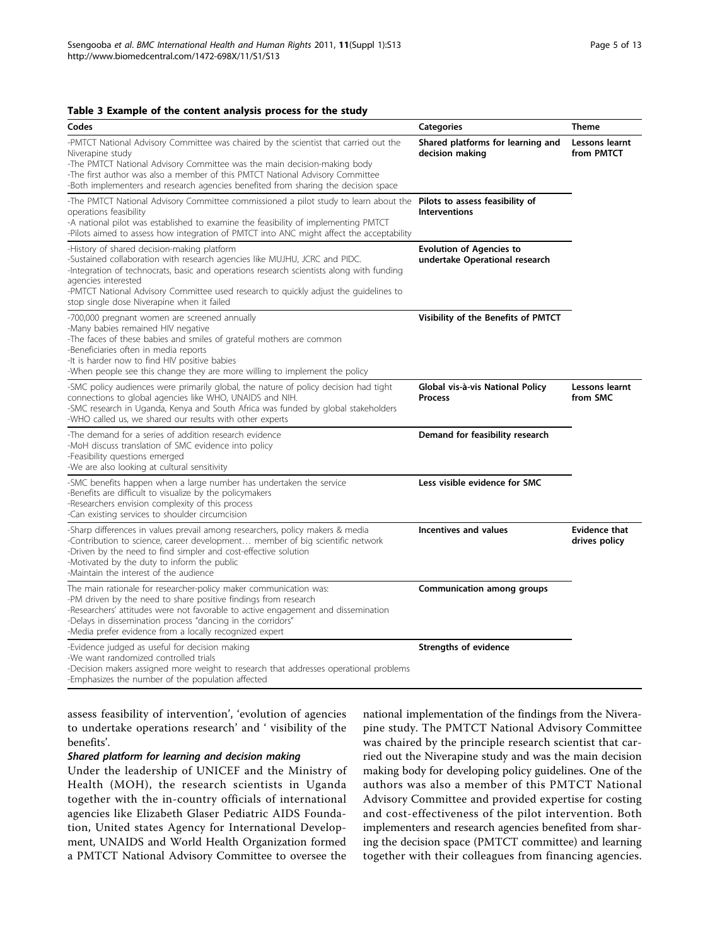### <span id="page-4-0"></span>Table 3 Example of the content analysis process for the study

| Codes                                                                                                                                                                                                                                                                                                                                                                              | <b>Categories</b>                                                 | <b>Theme</b>                          |
|------------------------------------------------------------------------------------------------------------------------------------------------------------------------------------------------------------------------------------------------------------------------------------------------------------------------------------------------------------------------------------|-------------------------------------------------------------------|---------------------------------------|
| -PMTCT National Advisory Committee was chaired by the scientist that carried out the<br>Niverapine study<br>-The PMTCT National Advisory Committee was the main decision-making body<br>-The first author was also a member of this PMTCT National Advisory Committee<br>-Both implementers and research agencies benefited from sharing the decision space                        | Shared platforms for learning and<br>decision making              | Lessons learnt<br>from PMTCT          |
| -The PMTCT National Advisory Committee commissioned a pilot study to learn about the<br>operations feasibility<br>-A national pilot was established to examine the feasibility of implementing PMTCT<br>-Pilots aimed to assess how integration of PMTCT into ANC might affect the acceptability                                                                                   | Pilots to assess feasibility of<br><b>Interventions</b>           |                                       |
| -History of shared decision-making platform<br>-Sustained collaboration with research agencies like MUJHU, JCRC and PIDC.<br>-Integration of technocrats, basic and operations research scientists along with funding<br>agencies interested<br>-PMTCT National Advisory Committee used research to quickly adjust the guidelines to<br>stop single dose Niverapine when it failed | <b>Evolution of Agencies to</b><br>undertake Operational research |                                       |
| -700,000 pregnant women are screened annually<br>-Many babies remained HIV negative<br>-The faces of these babies and smiles of grateful mothers are common<br>-Beneficiaries often in media reports<br>-It is harder now to find HIV positive babies<br>-When people see this change they are more willing to implement the policy                                                | Visibility of the Benefits of PMTCT                               |                                       |
| -SMC policy audiences were primarily global, the nature of policy decision had tight<br>connections to global agencies like WHO, UNAIDS and NIH.<br>-SMC research in Uganda, Kenya and South Africa was funded by global stakeholders<br>-WHO called us, we shared our results with other experts                                                                                  | Global vis-à-vis National Policy<br><b>Process</b>                | Lessons learnt<br>from SMC            |
| -The demand for a series of addition research evidence<br>-MoH discuss translation of SMC evidence into policy<br>-Feasibility questions emerged<br>-We are also looking at cultural sensitivity                                                                                                                                                                                   | Demand for feasibility research                                   |                                       |
| -SMC benefits happen when a large number has undertaken the service<br>-Benefits are difficult to visualize by the policymakers<br>-Researchers envision complexity of this process<br>-Can existing services to shoulder circumcision                                                                                                                                             | Less visible evidence for SMC                                     |                                       |
| -Sharp differences in values prevail among researchers, policy makers & media<br>-Contribution to science, career development member of big scientific network<br>-Driven by the need to find simpler and cost-effective solution<br>-Motivated by the duty to inform the public<br>-Maintain the interest of the audience                                                         | Incentives and values                                             | <b>Evidence that</b><br>drives policy |
| The main rationale for researcher-policy maker communication was:<br>-PM driven by the need to share positive findings from research<br>-Researchers' attitudes were not favorable to active engagement and dissemination<br>-Delays in dissemination process "dancing in the corridors"<br>-Media prefer evidence from a locally recognized expert                                | <b>Communication among groups</b>                                 |                                       |
| -Evidence judged as useful for decision making<br>-We want randomized controlled trials<br>-Decision makers assigned more weight to research that addresses operational problems                                                                                                                                                                                                   | <b>Strengths of evidence</b>                                      |                                       |

-Emphasizes the number of the population affected

assess feasibility of intervention', 'evolution of agencies to undertake operations research' and ' visibility of the benefits'.

# Shared platform for learning and decision making

Under the leadership of UNICEF and the Ministry of Health (MOH), the research scientists in Uganda together with the in-country officials of international agencies like Elizabeth Glaser Pediatric AIDS Foundation, United states Agency for International Development, UNAIDS and World Health Organization formed a PMTCT National Advisory Committee to oversee the

national implementation of the findings from the Niverapine study. The PMTCT National Advisory Committee was chaired by the principle research scientist that carried out the Niverapine study and was the main decision making body for developing policy guidelines. One of the authors was also a member of this PMTCT National Advisory Committee and provided expertise for costing and cost-effectiveness of the pilot intervention. Both implementers and research agencies benefited from sharing the decision space (PMTCT committee) and learning together with their colleagues from financing agencies.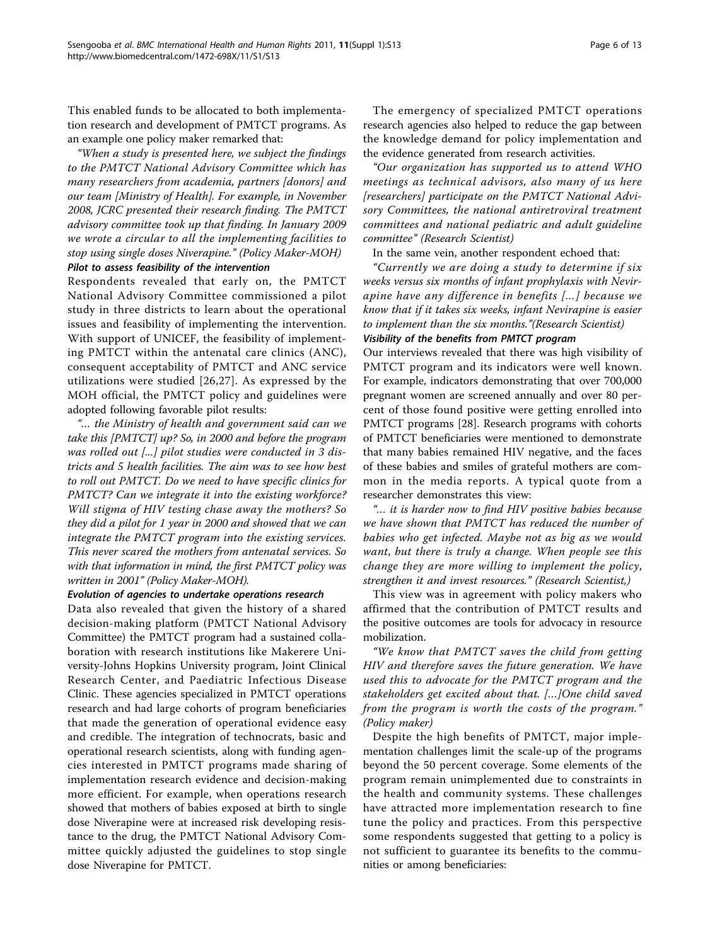This enabled funds to be allocated to both implementation research and development of PMTCT programs. As an example one policy maker remarked that:

"When a study is presented here, we subject the findings to the PMTCT National Advisory Committee which has many researchers from academia, partners [donors] and our team [Ministry of Health]. For example, in November 2008, JCRC presented their research finding. The PMTCT advisory committee took up that finding. In January 2009 we wrote a circular to all the implementing facilities to stop using single doses Niverapine." (Policy Maker-MOH) Pilot to assess feasibility of the intervention

Respondents revealed that early on, the PMTCT National Advisory Committee commissioned a pilot study in three districts to learn about the operational issues and feasibility of implementing the intervention. With support of UNICEF, the feasibility of implementing PMTCT within the antenatal care clinics (ANC), consequent acceptability of PMTCT and ANC service utilizations were studied [[26,27\]](#page-11-0). As expressed by the MOH official, the PMTCT policy and guidelines were adopted following favorable pilot results:

"… the Ministry of health and government said can we take this [PMTCT] up? So, in 2000 and before the program was rolled out [...] pilot studies were conducted in 3 districts and 5 health facilities. The aim was to see how best to roll out PMTCT. Do we need to have specific clinics for PMTCT? Can we integrate it into the existing workforce? Will stigma of HIV testing chase away the mothers? So they did a pilot for 1 year in 2000 and showed that we can integrate the PMTCT program into the existing services. This never scared the mothers from antenatal services. So with that information in mind, the first PMTCT policy was written in 2001" (Policy Maker-MOH).

### Evolution of agencies to undertake operations research

Data also revealed that given the history of a shared decision-making platform (PMTCT National Advisory Committee) the PMTCT program had a sustained collaboration with research institutions like Makerere University-Johns Hopkins University program, Joint Clinical Research Center, and Paediatric Infectious Disease Clinic. These agencies specialized in PMTCT operations research and had large cohorts of program beneficiaries that made the generation of operational evidence easy and credible. The integration of technocrats, basic and operational research scientists, along with funding agencies interested in PMTCT programs made sharing of implementation research evidence and decision-making more efficient. For example, when operations research showed that mothers of babies exposed at birth to single dose Niverapine were at increased risk developing resistance to the drug, the PMTCT National Advisory Committee quickly adjusted the guidelines to stop single dose Niverapine for PMTCT.

The emergency of specialized PMTCT operations research agencies also helped to reduce the gap between the knowledge demand for policy implementation and the evidence generated from research activities.

"Our organization has supported us to attend WHO meetings as technical advisors, also many of us here [researchers] participate on the PMTCT National Advisory Committees, the national antiretroviral treatment committees and national pediatric and adult guideline committee" (Research Scientist)

In the same vein, another respondent echoed that:

"Currently we are doing a study to determine if six weeks versus six months of infant prophylaxis with Nevirapine have any difference in benefits […] because we know that if it takes six weeks, infant Nevirapine is easier to implement than the six months."(Research Scientist)

## Visibility of the benefits from PMTCT program

Our interviews revealed that there was high visibility of PMTCT program and its indicators were well known. For example, indicators demonstrating that over 700,000 pregnant women are screened annually and over 80 percent of those found positive were getting enrolled into PMTCT programs [\[28](#page-12-0)]. Research programs with cohorts of PMTCT beneficiaries were mentioned to demonstrate that many babies remained HIV negative, and the faces of these babies and smiles of grateful mothers are common in the media reports. A typical quote from a researcher demonstrates this view:

"… it is harder now to find HIV positive babies because we have shown that PMTCT has reduced the number of babies who get infected. Maybe not as big as we would want, but there is truly a change. When people see this change they are more willing to implement the policy, strengthen it and invest resources." (Research Scientist,)

This view was in agreement with policy makers who affirmed that the contribution of PMTCT results and the positive outcomes are tools for advocacy in resource mobilization.

"We know that PMTCT saves the child from getting HIV and therefore saves the future generation. We have used this to advocate for the PMTCT program and the stakeholders get excited about that. […]One child saved from the program is worth the costs of the program." (Policy maker)

Despite the high benefits of PMTCT, major implementation challenges limit the scale-up of the programs beyond the 50 percent coverage. Some elements of the program remain unimplemented due to constraints in the health and community systems. These challenges have attracted more implementation research to fine tune the policy and practices. From this perspective some respondents suggested that getting to a policy is not sufficient to guarantee its benefits to the communities or among beneficiaries: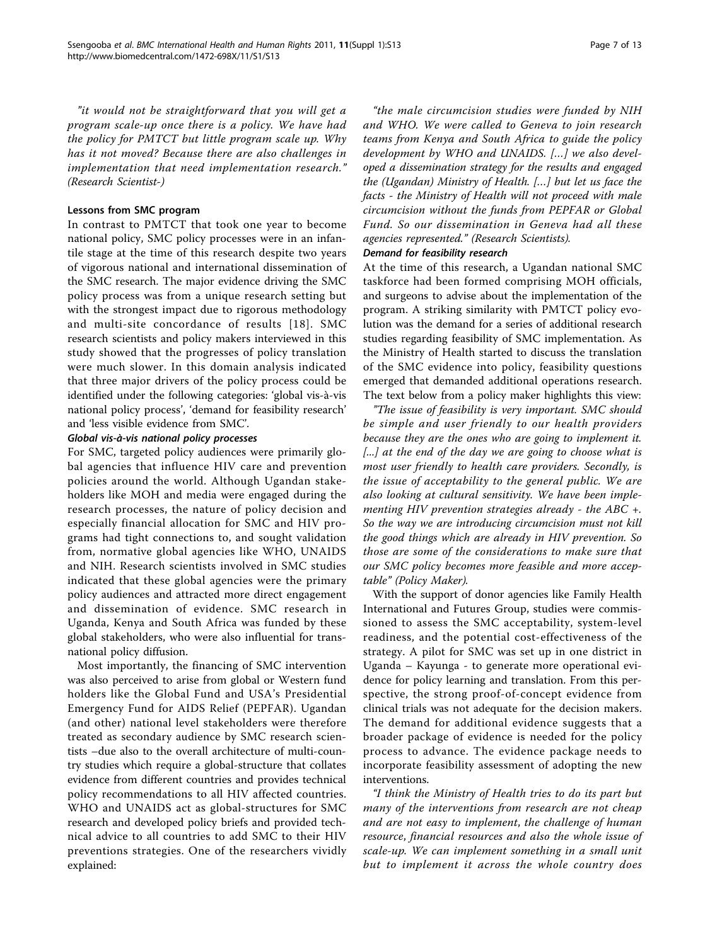"it would not be straightforward that you will get a program scale-up once there is a policy. We have had the policy for PMTCT but little program scale up. Why has it not moved? Because there are also challenges in implementation that need implementation research." (Research Scientist-)

## Lessons from SMC program

In contrast to PMTCT that took one year to become national policy, SMC policy processes were in an infantile stage at the time of this research despite two years of vigorous national and international dissemination of the SMC research. The major evidence driving the SMC policy process was from a unique research setting but with the strongest impact due to rigorous methodology and multi-site concordance of results [[18\]](#page-11-0). SMC research scientists and policy makers interviewed in this study showed that the progresses of policy translation were much slower. In this domain analysis indicated that three major drivers of the policy process could be identified under the following categories: 'global vis-à-vis national policy process', 'demand for feasibility research' and 'less visible evidence from SMC'.

## Global vis-à-vis national policy processes

For SMC, targeted policy audiences were primarily global agencies that influence HIV care and prevention policies around the world. Although Ugandan stakeholders like MOH and media were engaged during the research processes, the nature of policy decision and especially financial allocation for SMC and HIV programs had tight connections to, and sought validation from, normative global agencies like WHO, UNAIDS and NIH. Research scientists involved in SMC studies indicated that these global agencies were the primary policy audiences and attracted more direct engagement and dissemination of evidence. SMC research in Uganda, Kenya and South Africa was funded by these global stakeholders, who were also influential for transnational policy diffusion.

Most importantly, the financing of SMC intervention was also perceived to arise from global or Western fund holders like the Global Fund and USA's Presidential Emergency Fund for AIDS Relief (PEPFAR). Ugandan (and other) national level stakeholders were therefore treated as secondary audience by SMC research scientists –due also to the overall architecture of multi-country studies which require a global-structure that collates evidence from different countries and provides technical policy recommendations to all HIV affected countries. WHO and UNAIDS act as global-structures for SMC research and developed policy briefs and provided technical advice to all countries to add SMC to their HIV preventions strategies. One of the researchers vividly explained:

"the male circumcision studies were funded by NIH and WHO. We were called to Geneva to join research teams from Kenya and South Africa to guide the policy development by WHO and UNAIDS. […] we also developed a dissemination strategy for the results and engaged the (Ugandan) Ministry of Health. […] but let us face the facts - the Ministry of Health will not proceed with male circumcision without the funds from PEPFAR or Global Fund. So our dissemination in Geneva had all these agencies represented." (Research Scientists).

# Demand for feasibility research

At the time of this research, a Ugandan national SMC taskforce had been formed comprising MOH officials, and surgeons to advise about the implementation of the program. A striking similarity with PMTCT policy evolution was the demand for a series of additional research studies regarding feasibility of SMC implementation. As the Ministry of Health started to discuss the translation of the SMC evidence into policy, feasibility questions emerged that demanded additional operations research. The text below from a policy maker highlights this view:

"The issue of feasibility is very important. SMC should be simple and user friendly to our health providers because they are the ones who are going to implement it.  $\left[ \ldots \right]$  at the end of the day we are going to choose what is most user friendly to health care providers. Secondly, is the issue of acceptability to the general public. We are also looking at cultural sensitivity. We have been implementing HIV prevention strategies already - the ABC +. So the way we are introducing circumcision must not kill the good things which are already in HIV prevention. So those are some of the considerations to make sure that our SMC policy becomes more feasible and more acceptable" (Policy Maker).

With the support of donor agencies like Family Health International and Futures Group, studies were commissioned to assess the SMC acceptability, system-level readiness, and the potential cost-effectiveness of the strategy. A pilot for SMC was set up in one district in Uganda – Kayunga - to generate more operational evidence for policy learning and translation. From this perspective, the strong proof-of-concept evidence from clinical trials was not adequate for the decision makers. The demand for additional evidence suggests that a broader package of evidence is needed for the policy process to advance. The evidence package needs to incorporate feasibility assessment of adopting the new interventions.

"I think the Ministry of Health tries to do its part but many of the interventions from research are not cheap and are not easy to implement, the challenge of human resource, financial resources and also the whole issue of scale-up. We can implement something in a small unit but to implement it across the whole country does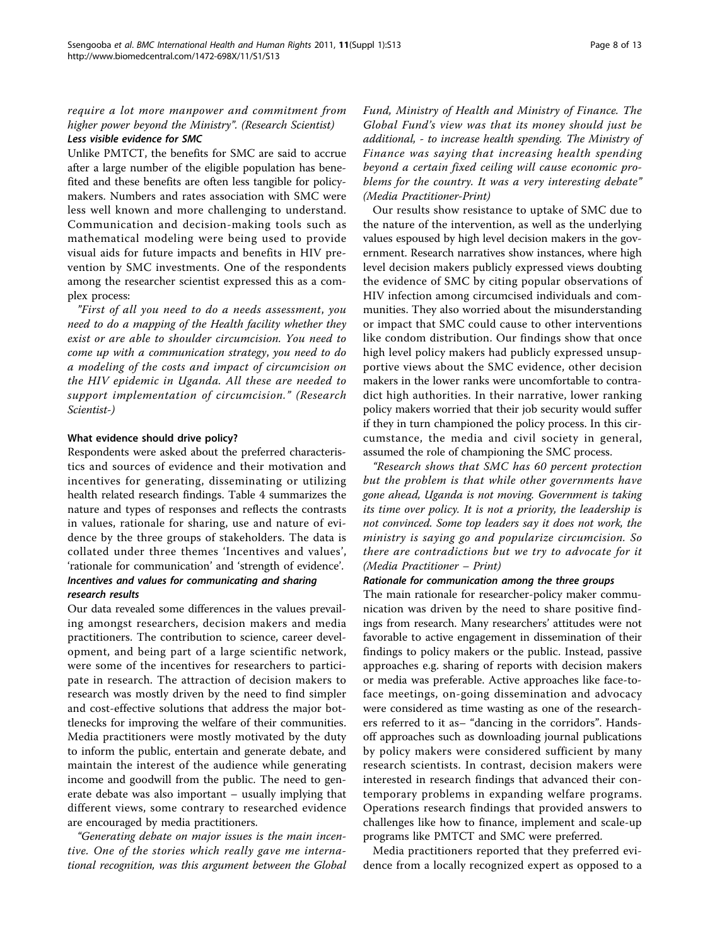# require a lot more manpower and commitment from higher power beyond the Ministry". (Research Scientist) Less visible evidence for SMC

Unlike PMTCT, the benefits for SMC are said to accrue after a large number of the eligible population has benefited and these benefits are often less tangible for policymakers. Numbers and rates association with SMC were less well known and more challenging to understand. Communication and decision-making tools such as mathematical modeling were being used to provide visual aids for future impacts and benefits in HIV prevention by SMC investments. One of the respondents among the researcher scientist expressed this as a complex process:

"First of all you need to do a needs assessment, you need to do a mapping of the Health facility whether they exist or are able to shoulder circumcision. You need to come up with a communication strategy, you need to do a modeling of the costs and impact of circumcision on the HIV epidemic in Uganda. All these are needed to support implementation of circumcision." (Research Scientist-)

## What evidence should drive policy?

Respondents were asked about the preferred characteristics and sources of evidence and their motivation and incentives for generating, disseminating or utilizing health related research findings. Table [4](#page-8-0) summarizes the nature and types of responses and reflects the contrasts in values, rationale for sharing, use and nature of evidence by the three groups of stakeholders. The data is collated under three themes 'Incentives and values', 'rationale for communication' and 'strength of evidence'. Incentives and values for communicating and sharing

# research results

Our data revealed some differences in the values prevailing amongst researchers, decision makers and media practitioners. The contribution to science, career development, and being part of a large scientific network, were some of the incentives for researchers to participate in research. The attraction of decision makers to research was mostly driven by the need to find simpler and cost-effective solutions that address the major bottlenecks for improving the welfare of their communities. Media practitioners were mostly motivated by the duty to inform the public, entertain and generate debate, and maintain the interest of the audience while generating income and goodwill from the public. The need to generate debate was also important – usually implying that different views, some contrary to researched evidence are encouraged by media practitioners.

"Generating debate on major issues is the main incentive. One of the stories which really gave me international recognition, was this argument between the Global Fund, Ministry of Health and Ministry of Finance. The Global Fund's view was that its money should just be additional, - to increase health spending. The Ministry of Finance was saying that increasing health spending beyond a certain fixed ceiling will cause economic problems for the country. It was a very interesting debate" (Media Practitioner-Print)

Our results show resistance to uptake of SMC due to the nature of the intervention, as well as the underlying values espoused by high level decision makers in the government. Research narratives show instances, where high level decision makers publicly expressed views doubting the evidence of SMC by citing popular observations of HIV infection among circumcised individuals and communities. They also worried about the misunderstanding or impact that SMC could cause to other interventions like condom distribution. Our findings show that once high level policy makers had publicly expressed unsupportive views about the SMC evidence, other decision makers in the lower ranks were uncomfortable to contradict high authorities. In their narrative, lower ranking policy makers worried that their job security would suffer if they in turn championed the policy process. In this circumstance, the media and civil society in general, assumed the role of championing the SMC process.

"Research shows that SMC has 60 percent protection but the problem is that while other governments have gone ahead, Uganda is not moving. Government is taking its time over policy. It is not a priority, the leadership is not convinced. Some top leaders say it does not work, the ministry is saying go and popularize circumcision. So there are contradictions but we try to advocate for it (Media Practitioner – Print)

### Rationale for communication among the three groups

The main rationale for researcher-policy maker communication was driven by the need to share positive findings from research. Many researchers' attitudes were not favorable to active engagement in dissemination of their findings to policy makers or the public. Instead, passive approaches e.g. sharing of reports with decision makers or media was preferable. Active approaches like face-toface meetings, on-going dissemination and advocacy were considered as time wasting as one of the researchers referred to it as– "dancing in the corridors". Handsoff approaches such as downloading journal publications by policy makers were considered sufficient by many research scientists. In contrast, decision makers were interested in research findings that advanced their contemporary problems in expanding welfare programs. Operations research findings that provided answers to challenges like how to finance, implement and scale-up programs like PMTCT and SMC were preferred.

Media practitioners reported that they preferred evidence from a locally recognized expert as opposed to a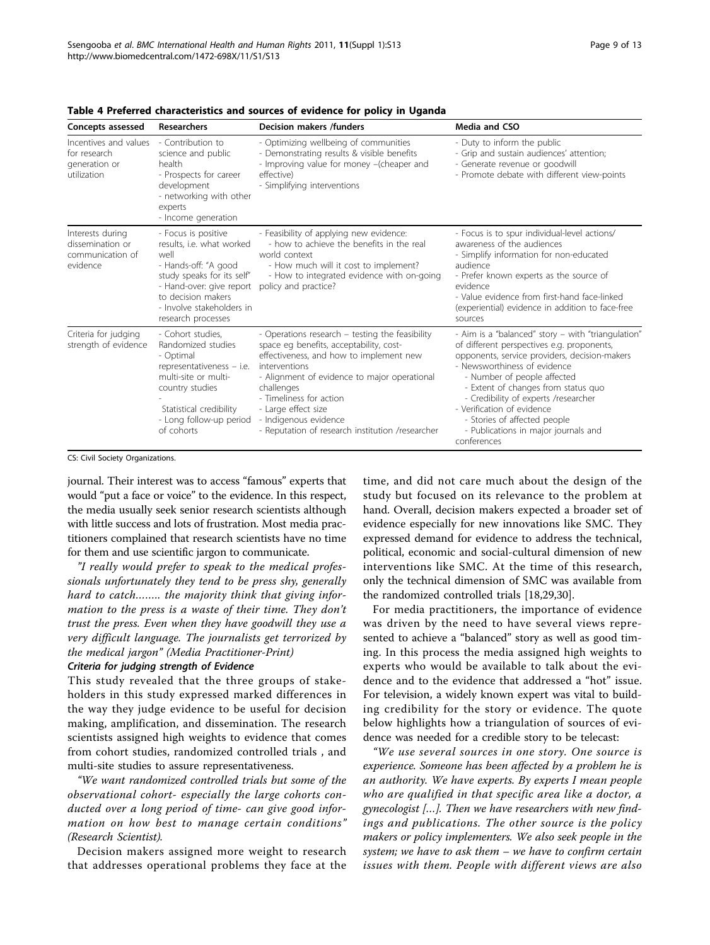| Concepts assessed                                                     | <b>Researchers</b>                                                                                                                                                                                                  | Decision makers /funders                                                                                                                                                                                                                                                                                                                            | Media and CSO                                                                                                                                                                                                                                                                                                                                                                                                        |
|-----------------------------------------------------------------------|---------------------------------------------------------------------------------------------------------------------------------------------------------------------------------------------------------------------|-----------------------------------------------------------------------------------------------------------------------------------------------------------------------------------------------------------------------------------------------------------------------------------------------------------------------------------------------------|----------------------------------------------------------------------------------------------------------------------------------------------------------------------------------------------------------------------------------------------------------------------------------------------------------------------------------------------------------------------------------------------------------------------|
| Incentives and values<br>for research<br>generation or<br>utilization | - Contribution to<br>science and public<br>health<br>- Prospects for career<br>development<br>- networking with other<br>experts<br>- Income generation                                                             | - Optimizing wellbeing of communities<br>- Demonstrating results & visible benefits<br>- Improving value for money - (cheaper and<br>effective)<br>- Simplifying interventions                                                                                                                                                                      | - Duty to inform the public<br>- Grip and sustain audiences' attention;<br>- Generate revenue or goodwill<br>- Promote debate with different view-points                                                                                                                                                                                                                                                             |
| Interests during<br>dissemination or<br>communication of<br>evidence  | - Focus is positive<br>results, i.e. what worked<br>well<br>- Hands-off: "A good<br>study speaks for its self"<br>- Hand-over: give report<br>to decision makers<br>- Involve stakeholders in<br>research processes | - Feasibility of applying new evidence:<br>- how to achieve the benefits in the real<br>world context<br>- How much will it cost to implement?<br>- How to integrated evidence with on-going<br>policy and practice?                                                                                                                                | - Focus is to spur individual-level actions/<br>awareness of the audiences<br>- Simplify information for non-educated<br>audience<br>- Prefer known experts as the source of<br>evidence<br>- Value evidence from first-hand face-linked<br>(experiential) evidence in addition to face-free<br>sources                                                                                                              |
| Criteria for judging<br>strength of evidence                          | - Cohort studies,<br>Randomized studies<br>- Optimal<br>representativeness - i.e.<br>multi-site or multi-<br>country studies<br>Statistical credibility<br>- Long follow-up period<br>of cohorts                    | - Operations research – testing the feasibility<br>space eg benefits, acceptability, cost-<br>effectiveness, and how to implement new<br>interventions<br>- Alignment of evidence to major operational<br>challenges<br>- Timeliness for action<br>- Large effect size<br>- Indigenous evidence<br>- Reputation of research institution /researcher | - Aim is a "balanced" story - with "triangulation"<br>of different perspectives e.g. proponents,<br>opponents, service providers, decision-makers<br>- Newsworthiness of evidence<br>- Number of people affected<br>- Extent of changes from status quo<br>- Credibility of experts /researcher<br>- Verification of evidence<br>- Stories of affected people<br>- Publications in major journals and<br>conferences |

<span id="page-8-0"></span>Table 4 Preferred characteristics and sources of evidence for policy in Uganda

CS: Civil Society Organizations.

journal. Their interest was to access "famous" experts that would "put a face or voice" to the evidence. In this respect, the media usually seek senior research scientists although with little success and lots of frustration. Most media practitioners complained that research scientists have no time for them and use scientific jargon to communicate.

"I really would prefer to speak to the medical professionals unfortunately they tend to be press shy, generally hard to catch........ the majority think that giving information to the press is a waste of their time. They don't trust the press. Even when they have goodwill they use a very difficult language. The journalists get terrorized by the medical jargon" (Media Practitioner-Print)

### Criteria for judging strength of Evidence

This study revealed that the three groups of stakeholders in this study expressed marked differences in the way they judge evidence to be useful for decision making, amplification, and dissemination. The research scientists assigned high weights to evidence that comes from cohort studies, randomized controlled trials , and multi-site studies to assure representativeness.

"We want randomized controlled trials but some of the observational cohort- especially the large cohorts conducted over a long period of time- can give good information on how best to manage certain conditions" (Research Scientist).

Decision makers assigned more weight to research that addresses operational problems they face at the

time, and did not care much about the design of the study but focused on its relevance to the problem at hand. Overall, decision makers expected a broader set of evidence especially for new innovations like SMC. They expressed demand for evidence to address the technical, political, economic and social-cultural dimension of new interventions like SMC. At the time of this research, only the technical dimension of SMC was available from the randomized controlled trials [\[18](#page-11-0)[,29,30\]](#page-12-0).

For media practitioners, the importance of evidence was driven by the need to have several views represented to achieve a "balanced" story as well as good timing. In this process the media assigned high weights to experts who would be available to talk about the evidence and to the evidence that addressed a "hot" issue. For television, a widely known expert was vital to building credibility for the story or evidence. The quote below highlights how a triangulation of sources of evidence was needed for a credible story to be telecast:

"We use several sources in one story. One source is experience. Someone has been affected by a problem he is an authority. We have experts. By experts I mean people who are qualified in that specific area like a doctor, a gynecologist […]. Then we have researchers with new findings and publications. The other source is the policy makers or policy implementers. We also seek people in the system; we have to ask them – we have to confirm certain issues with them. People with different views are also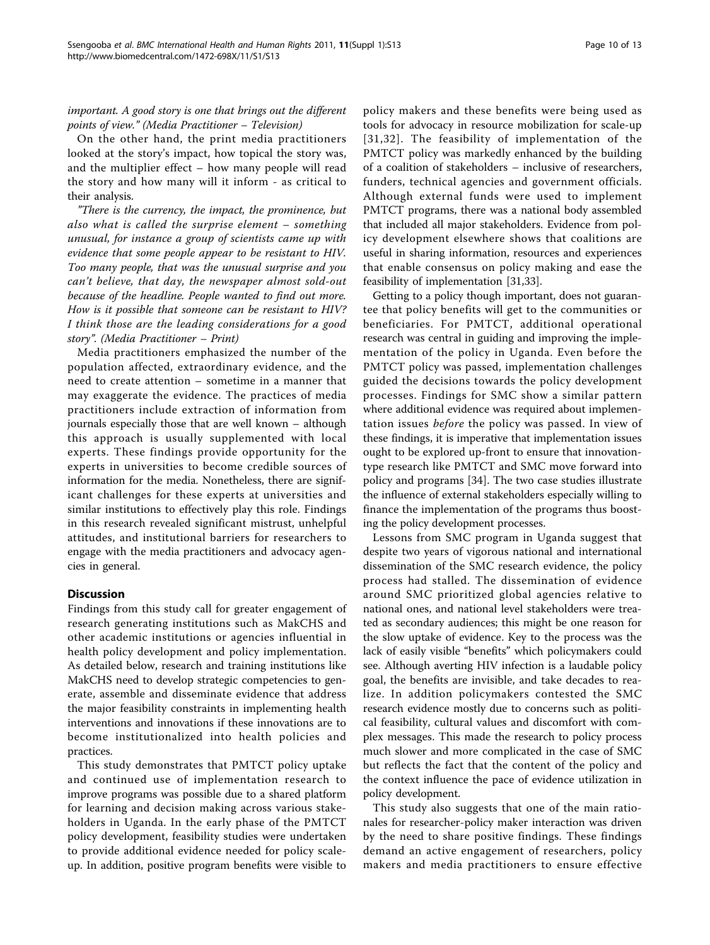important. A good story is one that brings out the different points of view." (Media Practitioner – Television)

On the other hand, the print media practitioners looked at the story's impact, how topical the story was, and the multiplier effect – how many people will read the story and how many will it inform - as critical to their analysis.

"There is the currency, the impact, the prominence, but also what is called the surprise element – something unusual, for instance a group of scientists came up with evidence that some people appear to be resistant to HIV. Too many people, that was the unusual surprise and you can't believe, that day, the newspaper almost sold-out because of the headline. People wanted to find out more. How is it possible that someone can be resistant to HIV? I think those are the leading considerations for a good story". (Media Practitioner – Print)

Media practitioners emphasized the number of the population affected, extraordinary evidence, and the need to create attention – sometime in a manner that may exaggerate the evidence. The practices of media practitioners include extraction of information from journals especially those that are well known – although this approach is usually supplemented with local experts. These findings provide opportunity for the experts in universities to become credible sources of information for the media. Nonetheless, there are significant challenges for these experts at universities and similar institutions to effectively play this role. Findings in this research revealed significant mistrust, unhelpful attitudes, and institutional barriers for researchers to engage with the media practitioners and advocacy agencies in general.

### **Discussion**

Findings from this study call for greater engagement of research generating institutions such as MakCHS and other academic institutions or agencies influential in health policy development and policy implementation. As detailed below, research and training institutions like MakCHS need to develop strategic competencies to generate, assemble and disseminate evidence that address the major feasibility constraints in implementing health interventions and innovations if these innovations are to become institutionalized into health policies and practices.

This study demonstrates that PMTCT policy uptake and continued use of implementation research to improve programs was possible due to a shared platform for learning and decision making across various stakeholders in Uganda. In the early phase of the PMTCT policy development, feasibility studies were undertaken to provide additional evidence needed for policy scaleup. In addition, positive program benefits were visible to policy makers and these benefits were being used as tools for advocacy in resource mobilization for scale-up [[31](#page-12-0),[32](#page-12-0)]. The feasibility of implementation of the PMTCT policy was markedly enhanced by the building of a coalition of stakeholders – inclusive of researchers, funders, technical agencies and government officials. Although external funds were used to implement PMTCT programs, there was a national body assembled that included all major stakeholders. Evidence from policy development elsewhere shows that coalitions are useful in sharing information, resources and experiences that enable consensus on policy making and ease the feasibility of implementation [\[31,33\]](#page-12-0).

Getting to a policy though important, does not guarantee that policy benefits will get to the communities or beneficiaries. For PMTCT, additional operational research was central in guiding and improving the implementation of the policy in Uganda. Even before the PMTCT policy was passed, implementation challenges guided the decisions towards the policy development processes. Findings for SMC show a similar pattern where additional evidence was required about implementation issues before the policy was passed. In view of these findings, it is imperative that implementation issues ought to be explored up-front to ensure that innovationtype research like PMTCT and SMC move forward into policy and programs [\[34](#page-12-0)]. The two case studies illustrate the influence of external stakeholders especially willing to finance the implementation of the programs thus boosting the policy development processes.

Lessons from SMC program in Uganda suggest that despite two years of vigorous national and international dissemination of the SMC research evidence, the policy process had stalled. The dissemination of evidence around SMC prioritized global agencies relative to national ones, and national level stakeholders were treated as secondary audiences; this might be one reason for the slow uptake of evidence. Key to the process was the lack of easily visible "benefits" which policymakers could see. Although averting HIV infection is a laudable policy goal, the benefits are invisible, and take decades to realize. In addition policymakers contested the SMC research evidence mostly due to concerns such as political feasibility, cultural values and discomfort with complex messages. This made the research to policy process much slower and more complicated in the case of SMC but reflects the fact that the content of the policy and the context influence the pace of evidence utilization in policy development.

This study also suggests that one of the main rationales for researcher-policy maker interaction was driven by the need to share positive findings. These findings demand an active engagement of researchers, policy makers and media practitioners to ensure effective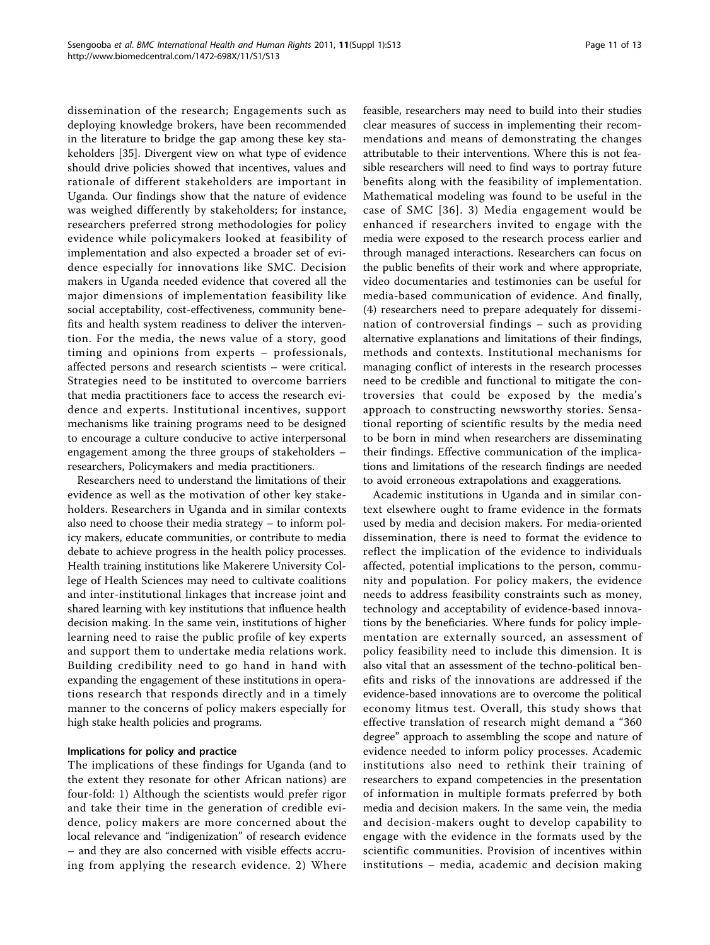dissemination of the research; Engagements such as deploying knowledge brokers, have been recommended in the literature to bridge the gap among these key stakeholders [[35\]](#page-12-0). Divergent view on what type of evidence should drive policies showed that incentives, values and rationale of different stakeholders are important in Uganda. Our findings show that the nature of evidence was weighed differently by stakeholders; for instance, researchers preferred strong methodologies for policy evidence while policymakers looked at feasibility of implementation and also expected a broader set of evidence especially for innovations like SMC. Decision makers in Uganda needed evidence that covered all the major dimensions of implementation feasibility like social acceptability, cost-effectiveness, community benefits and health system readiness to deliver the intervention. For the media, the news value of a story, good timing and opinions from experts – professionals, affected persons and research scientists – were critical. Strategies need to be instituted to overcome barriers that media practitioners face to access the research evidence and experts. Institutional incentives, support mechanisms like training programs need to be designed to encourage a culture conducive to active interpersonal engagement among the three groups of stakeholders – researchers, Policymakers and media practitioners.

Researchers need to understand the limitations of their evidence as well as the motivation of other key stakeholders. Researchers in Uganda and in similar contexts also need to choose their media strategy – to inform policy makers, educate communities, or contribute to media debate to achieve progress in the health policy processes. Health training institutions like Makerere University College of Health Sciences may need to cultivate coalitions and inter-institutional linkages that increase joint and shared learning with key institutions that influence health decision making. In the same vein, institutions of higher learning need to raise the public profile of key experts and support them to undertake media relations work. Building credibility need to go hand in hand with expanding the engagement of these institutions in operations research that responds directly and in a timely manner to the concerns of policy makers especially for high stake health policies and programs.

### Implications for policy and practice

The implications of these findings for Uganda (and to the extent they resonate for other African nations) are four-fold: 1) Although the scientists would prefer rigor and take their time in the generation of credible evidence, policy makers are more concerned about the local relevance and "indigenization" of research evidence – and they are also concerned with visible effects accruing from applying the research evidence. 2) Where feasible, researchers may need to build into their studies clear measures of success in implementing their recommendations and means of demonstrating the changes attributable to their interventions. Where this is not feasible researchers will need to find ways to portray future benefits along with the feasibility of implementation. Mathematical modeling was found to be useful in the case of SMC [\[36](#page-12-0)]. 3) Media engagement would be enhanced if researchers invited to engage with the media were exposed to the research process earlier and through managed interactions. Researchers can focus on the public benefits of their work and where appropriate, video documentaries and testimonies can be useful for media-based communication of evidence. And finally, (4) researchers need to prepare adequately for dissemination of controversial findings – such as providing alternative explanations and limitations of their findings, methods and contexts. Institutional mechanisms for managing conflict of interests in the research processes need to be credible and functional to mitigate the controversies that could be exposed by the media's approach to constructing newsworthy stories. Sensational reporting of scientific results by the media need to be born in mind when researchers are disseminating their findings. Effective communication of the implications and limitations of the research findings are needed to avoid erroneous extrapolations and exaggerations.

Academic institutions in Uganda and in similar context elsewhere ought to frame evidence in the formats used by media and decision makers. For media-oriented dissemination, there is need to format the evidence to reflect the implication of the evidence to individuals affected, potential implications to the person, community and population. For policy makers, the evidence needs to address feasibility constraints such as money, technology and acceptability of evidence-based innovations by the beneficiaries. Where funds for policy implementation are externally sourced, an assessment of policy feasibility need to include this dimension. It is also vital that an assessment of the techno-political benefits and risks of the innovations are addressed if the evidence-based innovations are to overcome the political economy litmus test. Overall, this study shows that effective translation of research might demand a "360 degree" approach to assembling the scope and nature of evidence needed to inform policy processes. Academic institutions also need to rethink their training of researchers to expand competencies in the presentation of information in multiple formats preferred by both media and decision makers. In the same vein, the media and decision-makers ought to develop capability to engage with the evidence in the formats used by the scientific communities. Provision of incentives within institutions – media, academic and decision making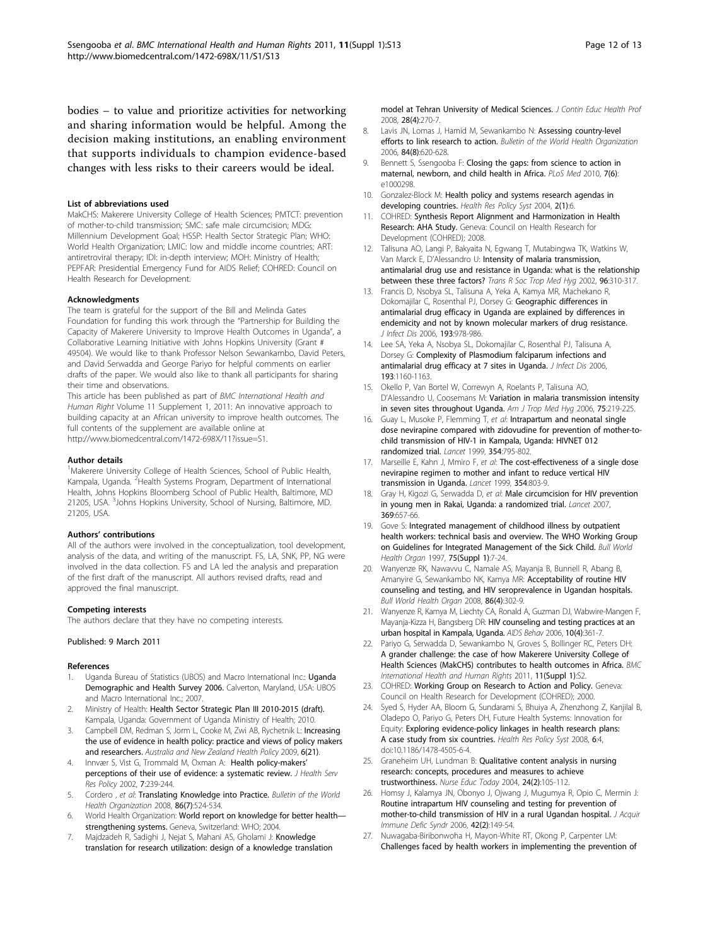<span id="page-11-0"></span>bodies – to value and prioritize activities for networking and sharing information would be helpful. Among the decision making institutions, an enabling environment that supports individuals to champion evidence-based changes with less risks to their careers would be ideal.

### List of abbreviations used

MakCHS: Makerere University College of Health Sciences; PMTCT: prevention of mother-to-child transmission; SMC: safe male circumcision; MDG: Millennium Development Goal; HSSP: Health Sector Strategic Plan; WHO: World Health Organization; LMIC: low and middle income countries; ART: antiretroviral therapy; IDI: in-depth interview; MOH: Ministry of Health; PEPFAR: Presidential Emergency Fund for AIDS Relief; COHRED: Council on Health Research for Development.

### Acknowledgments

The team is grateful for the support of the Bill and Melinda Gates Foundation for funding this work through the "Partnership for Building the Capacity of Makerere University to Improve Health Outcomes in Uganda", a Collaborative Learning Initiative with Johns Hopkins University (Grant # 49504). We would like to thank Professor Nelson Sewankambo, David Peters, and David Serwadda and George Pariyo for helpful comments on earlier drafts of the paper. We would also like to thank all participants for sharing their time and observations.

This article has been published as part of BMC International Health and Human Right Volume 11 Supplement 1, 2011: An innovative approach to building capacity at an African university to improve health outcomes. The full contents of the supplement are available online at <http://www.biomedcentral.com/1472-698X/11?issue=S1>.

### Author details

<sup>1</sup>Makerere University College of Health Sciences, School of Public Health, Kampala, Uganda. <sup>2</sup>Health Systems Program, Department of International Health, Johns Hopkins Bloomberg School of Public Health, Baltimore, MD 21205, USA. <sup>3</sup>Johns Hopkins University, School of Nursing, Baltimore, MD. 21205, USA.

### Authors' contributions

All of the authors were involved in the conceptualization, tool development, analysis of the data, and writing of the manuscript. FS, LA, SNK, PP, NG were involved in the data collection. FS and LA led the analysis and preparation of the first draft of the manuscript. All authors revised drafts, read and approved the final manuscript.

#### Competing interests

The authors declare that they have no competing interests.

#### Published: 9 March 2011

#### References

- Uganda Bureau of Statistics (UBOS) and Macro International Inc.: Uganda Demographic and Health Survey 2006. Calverton, Maryland, USA: UBOS and Macro International Inc.; 2007.
- 2. Ministry of Health: Health Sector Strategic Plan III 2010-2015 (draft). Kampala, Uganda: Government of Uganda Ministry of Health; 2010.
- Campbell DM, Redman S, Jorm L, Cooke M, Zwi AB, Rychetnik L: Increasing the use of evidence in health policy: practice and views of policy makers and researchers. Australia and New Zealand Health Policy 2009, 6(21).
- 4. Innvær S, Vist G, Trommald M, Oxman A: [Health policy-makers](http://www.ncbi.nlm.nih.gov/pubmed/12425783?dopt=Abstract)' [perceptions of their use of evidence: a systematic review.](http://www.ncbi.nlm.nih.gov/pubmed/12425783?dopt=Abstract) J Health Serv Res Policy 2002, 7:239-244.
- 5. Cordero , et al: [Translating Knowledge into Practice.](http://www.ncbi.nlm.nih.gov/pubmed/18670664?dopt=Abstract) Bulletin of the World Health Organization 2008, 86(7):524-534.
- 6. World Health Organization: World report on knowledge for better health strengthening systems. Geneva, Switzerland: WHO; 2004.
- Majdzadeh R, Sadighi J, Nejat S, Mahani AS, Gholami J: [Knowledge](http://www.ncbi.nlm.nih.gov/pubmed/19058259?dopt=Abstract) [translation for research utilization: design of a knowledge translation](http://www.ncbi.nlm.nih.gov/pubmed/19058259?dopt=Abstract)

[model at Tehran University of Medical Sciences.](http://www.ncbi.nlm.nih.gov/pubmed/19058259?dopt=Abstract) J Contin Educ Health Prof 2008, 28(4):270-7.

- 8. Lavis JN, Lomas J, Hamid M, Sewankambo N: [Assessing country-level](http://www.ncbi.nlm.nih.gov/pubmed/16917649?dopt=Abstract) [efforts to link research to action.](http://www.ncbi.nlm.nih.gov/pubmed/16917649?dopt=Abstract) Bulletin of the World Health Organization 2006, 84(8):620-628.
- Bennett S, Ssengooba F: [Closing the gaps: from science to action in](http://www.ncbi.nlm.nih.gov/pubmed/20613861?dopt=Abstract) [maternal, newborn, and child health in Africa.](http://www.ncbi.nlm.nih.gov/pubmed/20613861?dopt=Abstract) PLoS Med 2010, 7(6): e1000298.
- 10. Gonzalez-Block M: [Health policy and systems research agendas in](http://www.ncbi.nlm.nih.gov/pubmed/15296509?dopt=Abstract) [developing countries.](http://www.ncbi.nlm.nih.gov/pubmed/15296509?dopt=Abstract) Health Res Policy Syst 2004, 2(1):6.
- 11. COHRED: Synthesis Report Alignment and Harmonization in Health Research: AHA Study. Geneva: Council on Health Research for Development (COHRED); 2008.
- 12. Talisuna AO, Langi P, Bakyaita N, Egwang T, Mutabingwa TK, Watkins W, Van Marck E, D'Alessandro U: [Intensity of malaria transmission,](http://www.ncbi.nlm.nih.gov/pubmed/12174786?dopt=Abstract) [antimalarial drug use and resistance in Uganda: what is the relationship](http://www.ncbi.nlm.nih.gov/pubmed/12174786?dopt=Abstract) [between these three factors?](http://www.ncbi.nlm.nih.gov/pubmed/12174786?dopt=Abstract) Trans R Soc Trop Med Hyg 2002, 96:310-317.
- 13. Francis D, Nsobya SL, Talisuna A, Yeka A, Kamya MR, Machekano R, Dokomajilar C, Rosenthal PJ, Dorsey G: [Geographic differences in](http://www.ncbi.nlm.nih.gov/pubmed/16518760?dopt=Abstract) [antimalarial drug efficacy in Uganda are explained by differences in](http://www.ncbi.nlm.nih.gov/pubmed/16518760?dopt=Abstract) [endemicity and not by known molecular markers of drug resistance.](http://www.ncbi.nlm.nih.gov/pubmed/16518760?dopt=Abstract) J Infect Dis 2006, 193:978-986.
- 14. Lee SA, Yeka A, Nsobya SL, Dokomajilar C, Rosenthal PJ, Talisuna A, Dorsey G: [Complexity of Plasmodium falciparum infections and](http://www.ncbi.nlm.nih.gov/pubmed/16544257?dopt=Abstract) [antimalarial drug efficacy at 7 sites in Uganda.](http://www.ncbi.nlm.nih.gov/pubmed/16544257?dopt=Abstract) J Infect Dis 2006, 193:1160-1163.
- 15. Okello P, Van Bortel W, Correwyn A, Roelants P, Talisuna AO, D'Alessandro U, Coosemans M: [Variation in malaria transmission intensity](http://www.ncbi.nlm.nih.gov/pubmed/16896122?dopt=Abstract) [in seven sites throughout Uganda.](http://www.ncbi.nlm.nih.gov/pubmed/16896122?dopt=Abstract) Am J Trop Med Hyg 2006, 75:219-225.
- 16. Guay L, Musoke P, Flemming T, et al: [Intrapartum and neonatal single](http://www.ncbi.nlm.nih.gov/pubmed/10485720?dopt=Abstract) [dose nevirapine compared with zidovudine for prevention of mother-to](http://www.ncbi.nlm.nih.gov/pubmed/10485720?dopt=Abstract)[child transmission of HIV-1 in Kampala, Uganda: HIVNET 012](http://www.ncbi.nlm.nih.gov/pubmed/10485720?dopt=Abstract) [randomized trial.](http://www.ncbi.nlm.nih.gov/pubmed/10485720?dopt=Abstract) Lancet 1999, 354:795-802.
- 17. Marseille E, Kahn J, Mmiro F, et al: [The cost-effectiveness of a single dose](http://www.ncbi.nlm.nih.gov/pubmed/10485721?dopt=Abstract) [nevirapine regimen to mother and infant to reduce vertical HIV](http://www.ncbi.nlm.nih.gov/pubmed/10485721?dopt=Abstract) [transmission in Uganda.](http://www.ncbi.nlm.nih.gov/pubmed/10485721?dopt=Abstract) Lancet 1999, 354:803-9.
- 18. Gray H, Kigozi G, Serwadda D, et al: [Male circumcision for HIV prevention](http://www.ncbi.nlm.nih.gov/pubmed/17321311?dopt=Abstract) [in young men in Rakai, Uganda: a randomized trial.](http://www.ncbi.nlm.nih.gov/pubmed/17321311?dopt=Abstract) Lancet 2007, 369:657-66.
- 19. Gove S: [Integrated management of childhood illness by outpatient](http://www.ncbi.nlm.nih.gov/pubmed/9529714?dopt=Abstract) [health workers: technical basis and overview. The WHO Working Group](http://www.ncbi.nlm.nih.gov/pubmed/9529714?dopt=Abstract) [on Guidelines for Integrated Management of the Sick Child.](http://www.ncbi.nlm.nih.gov/pubmed/9529714?dopt=Abstract) Bull World Health Organ 1997, 75(Suppl 1):7-24.
- 20. Wanyenze RK, Nawavvu C, Namale AS, Mayanja B, Bunnell R, Abang B, Amanyire G, Sewankambo NK, Kamya MR: [Acceptability of routine HIV](http://www.ncbi.nlm.nih.gov/pubmed/18438519?dopt=Abstract) [counseling and testing, and HIV seroprevalence in Ugandan hospitals.](http://www.ncbi.nlm.nih.gov/pubmed/18438519?dopt=Abstract) Bull World Health Organ 2008, 86(4):302-9.
- 21. Wanyenze R, Kamya M, Liechty CA, Ronald A, Guzman DJ, Wabwire-Mangen F, Mayanja-Kizza H, Bangsberg DR: [HIV counseling and testing practices at an](http://www.ncbi.nlm.nih.gov/pubmed/16395619?dopt=Abstract) [urban hospital in Kampala, Uganda.](http://www.ncbi.nlm.nih.gov/pubmed/16395619?dopt=Abstract) AIDS Behav 2006, 10(4):361-7.
- 22. Pariyo G, Serwadda D, Sewankambo N, Groves S, Bollinger RC, Peters DH: A grander challenge: the case of how Makerere University College of Health Sciences (MakCHS) contributes to health outcomes in Africa. BMC International Health and Human Rights 2011, 11(Suppl 1):S2.
- 23. COHRED: Working Group on Research to Action and Policy. Geneva: Council on Health Research for Development (COHRED); 2000.
- 24. Syed S, Hyder AA, Bloom G, Sundarami S, Bhuiya A, Zhenzhong Z, Kanjilal B, Oladepo O, Pariyo G, Peters DH, Future Health Systems: Innovation for Equity: [Exploring evidence-policy linkages in health research plans:](http://www.ncbi.nlm.nih.gov/pubmed/18331651?dopt=Abstract) [A case study from six countries.](http://www.ncbi.nlm.nih.gov/pubmed/18331651?dopt=Abstract) Health Res Policy Syst 2008, 6:4, doi:10.1186/1478-4505-6-4.
- 25. Graneheim UH, Lundman B: [Qualitative content analysis in nursing](http://www.ncbi.nlm.nih.gov/pubmed/14769454?dopt=Abstract) [research: concepts, procedures and measures to achieve](http://www.ncbi.nlm.nih.gov/pubmed/14769454?dopt=Abstract) [trustworthiness.](http://www.ncbi.nlm.nih.gov/pubmed/14769454?dopt=Abstract) Nurse Educ Today 2004, 24(2):105-112.
- 26. Homsy J, Kalamya JN, Obonyo J, Ojwang J, Mugumya R, Opio C, Mermin J: [Routine intrapartum HIV counseling and testing for prevention of](http://www.ncbi.nlm.nih.gov/pubmed/16760796?dopt=Abstract) [mother-to-child transmission of HIV in a rural Ugandan hospital.](http://www.ncbi.nlm.nih.gov/pubmed/16760796?dopt=Abstract) J Acquir Immune Defic Syndr 2006, 42(2):149-54.
- 27. Nuwagaba-Biribonwoha H, Mayon-White RT, Okong P, Carpenter LM: [Challenges faced by health workers in implementing the prevention of](http://www.ncbi.nlm.nih.gov/pubmed/17538192?dopt=Abstract)